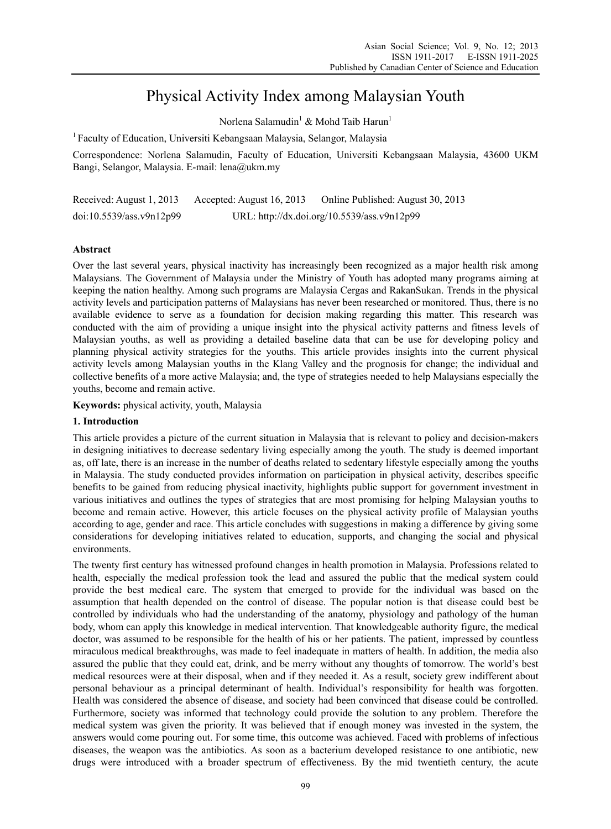# Physical Activity Index among Malaysian Youth

Norlena Salamudin<sup>1</sup> & Mohd Taib Harun<sup>1</sup>

<sup>1</sup> Faculty of Education, Universiti Kebangsaan Malaysia, Selangor, Malaysia

Correspondence: Norlena Salamudin, Faculty of Education, Universiti Kebangsaan Malaysia, 43600 UKM Bangi, Selangor, Malaysia. E-mail: lena@ukm.my

| Received: August 1, 2013 | Accepted: August 16, 2013 | Online Published: August 30, 2013           |
|--------------------------|---------------------------|---------------------------------------------|
| doi:10.5539/ass.v9n12p99 |                           | URL: http://dx.doi.org/10.5539/ass.v9n12p99 |

# **Abstract**

Over the last several years, physical inactivity has increasingly been recognized as a major health risk among Malaysians. The Government of Malaysia under the Ministry of Youth has adopted many programs aiming at keeping the nation healthy. Among such programs are Malaysia Cergas and RakanSukan. Trends in the physical activity levels and participation patterns of Malaysians has never been researched or monitored. Thus, there is no available evidence to serve as a foundation for decision making regarding this matter. This research was conducted with the aim of providing a unique insight into the physical activity patterns and fitness levels of Malaysian youths, as well as providing a detailed baseline data that can be use for developing policy and planning physical activity strategies for the youths. This article provides insights into the current physical activity levels among Malaysian youths in the Klang Valley and the prognosis for change; the individual and collective benefits of a more active Malaysia; and, the type of strategies needed to help Malaysians especially the youths, become and remain active.

**Keywords:** physical activity, youth, Malaysia

# **1. Introduction**

This article provides a picture of the current situation in Malaysia that is relevant to policy and decision-makers in designing initiatives to decrease sedentary living especially among the youth. The study is deemed important as, off late, there is an increase in the number of deaths related to sedentary lifestyle especially among the youths in Malaysia. The study conducted provides information on participation in physical activity, describes specific benefits to be gained from reducing physical inactivity, highlights public support for government investment in various initiatives and outlines the types of strategies that are most promising for helping Malaysian youths to become and remain active. However, this article focuses on the physical activity profile of Malaysian youths according to age, gender and race. This article concludes with suggestions in making a difference by giving some considerations for developing initiatives related to education, supports, and changing the social and physical environments.

The twenty first century has witnessed profound changes in health promotion in Malaysia. Professions related to health, especially the medical profession took the lead and assured the public that the medical system could provide the best medical care. The system that emerged to provide for the individual was based on the assumption that health depended on the control of disease. The popular notion is that disease could best be controlled by individuals who had the understanding of the anatomy, physiology and pathology of the human body, whom can apply this knowledge in medical intervention. That knowledgeable authority figure, the medical doctor, was assumed to be responsible for the health of his or her patients. The patient, impressed by countless miraculous medical breakthroughs, was made to feel inadequate in matters of health. In addition, the media also assured the public that they could eat, drink, and be merry without any thoughts of tomorrow. The world's best medical resources were at their disposal, when and if they needed it. As a result, society grew indifferent about personal behaviour as a principal determinant of health. Individual's responsibility for health was forgotten. Health was considered the absence of disease, and society had been convinced that disease could be controlled. Furthermore, society was informed that technology could provide the solution to any problem. Therefore the medical system was given the priority. It was believed that if enough money was invested in the system, the answers would come pouring out. For some time, this outcome was achieved. Faced with problems of infectious diseases, the weapon was the antibiotics. As soon as a bacterium developed resistance to one antibiotic, new drugs were introduced with a broader spectrum of effectiveness. By the mid twentieth century, the acute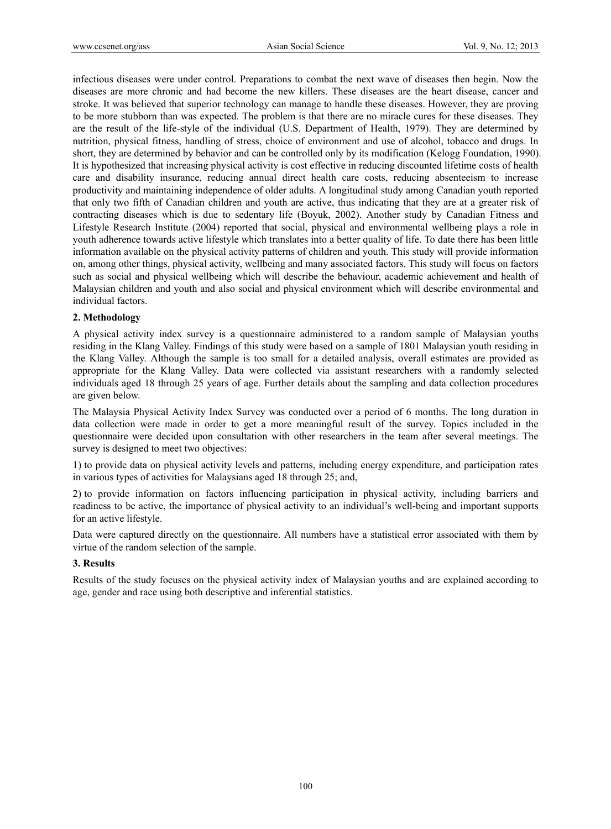infectious diseases were under control. Preparations to combat the next wave of diseases then begin. Now the diseases are more chronic and had become the new killers. These diseases are the heart disease, cancer and stroke. It was believed that superior technology can manage to handle these diseases. However, they are proving to be more stubborn than was expected. The problem is that there are no miracle cures for these diseases. They are the result of the life-style of the individual (U.S. Department of Health, 1979). They are determined by nutrition, physical fitness, handling of stress, choice of environment and use of alcohol, tobacco and drugs. In short, they are determined by behavior and can be controlled only by its modification (Kelogg Foundation, 1990). It is hypothesized that increasing physical activity is cost effective in reducing discounted lifetime costs of health care and disability insurance, reducing annual direct health care costs, reducing absenteeism to increase productivity and maintaining independence of older adults. A longitudinal study among Canadian youth reported that only two fifth of Canadian children and youth are active, thus indicating that they are at a greater risk of contracting diseases which is due to sedentary life (Boyuk, 2002). Another study by Canadian Fitness and Lifestyle Research Institute (2004) reported that social, physical and environmental wellbeing plays a role in youth adherence towards active lifestyle which translates into a better quality of life. To date there has been little information available on the physical activity patterns of children and youth. This study will provide information on, among other things, physical activity, wellbeing and many associated factors. This study will focus on factors such as social and physical wellbeing which will describe the behaviour, academic achievement and health of Malaysian children and youth and also social and physical environment which will describe environmental and individual factors.

## **2. Methodology**

A physical activity index survey is a questionnaire administered to a random sample of Malaysian youths residing in the Klang Valley. Findings of this study were based on a sample of 1801 Malaysian youth residing in the Klang Valley. Although the sample is too small for a detailed analysis, overall estimates are provided as appropriate for the Klang Valley. Data were collected via assistant researchers with a randomly selected individuals aged 18 through 25 years of age. Further details about the sampling and data collection procedures are given below.

The Malaysia Physical Activity Index Survey was conducted over a period of 6 months. The long duration in data collection were made in order to get a more meaningful result of the survey. Topics included in the questionnaire were decided upon consultation with other researchers in the team after several meetings. The survey is designed to meet two objectives:

1) to provide data on physical activity levels and patterns, including energy expenditure, and participation rates in various types of activities for Malaysians aged 18 through 25; and,

2) to provide information on factors influencing participation in physical activity, including barriers and readiness to be active, the importance of physical activity to an individual's well-being and important supports for an active lifestyle.

Data were captured directly on the questionnaire. All numbers have a statistical error associated with them by virtue of the random selection of the sample.

## **3. Results**

Results of the study focuses on the physical activity index of Malaysian youths and are explained according to age, gender and race using both descriptive and inferential statistics.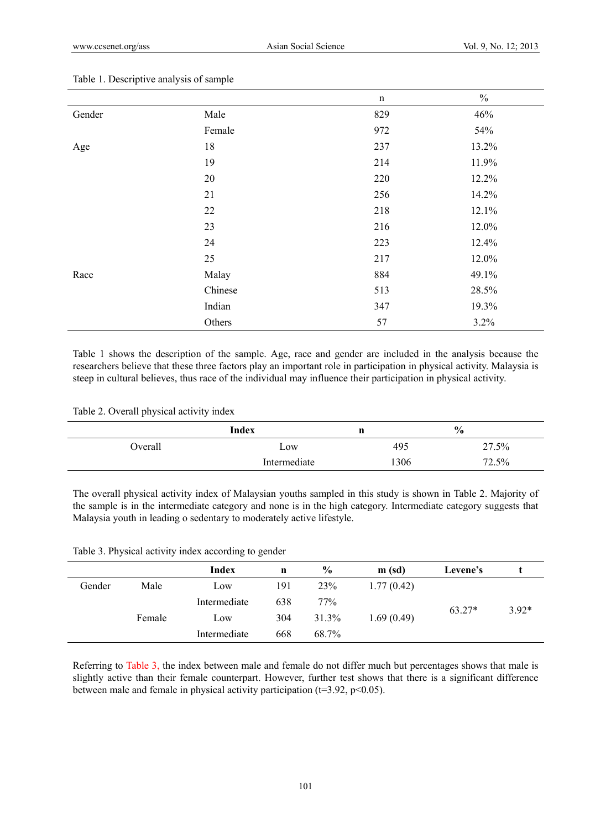|        |         | $\mathbf n$ | $\frac{0}{0}$ |
|--------|---------|-------------|---------------|
| Gender | Male    | 829         | 46%           |
|        | Female  | 972         | 54%           |
| Age    | 18      | 237         | 13.2%         |
|        | 19      | 214         | 11.9%         |
|        | $20\,$  | 220         | 12.2%         |
|        | 21      | 256         | 14.2%         |
|        | 22      | 218         | 12.1%         |
|        | 23      | 216         | 12.0%         |
|        | 24      | 223         | 12.4%         |
|        | 25      | 217         | 12.0%         |
| Race   | Malay   | 884         | 49.1%         |
|        | Chinese | 513         | 28.5%         |
|        | Indian  | 347         | 19.3%         |
|        | Others  | 57          | 3.2%          |

#### Table 1. Descriptive analysis of sample

Table 1 shows the description of the sample. Age, race and gender are included in the analysis because the researchers believe that these three factors play an important role in participation in physical activity. Malaysia is steep in cultural believes, thus race of the individual may influence their participation in physical activity.

|         | Index        | n    | $\frac{0}{0}$ |
|---------|--------------|------|---------------|
| Overall | LOW          | 495  | 27.5%         |
|         | Intermediate | 1306 | 72.5%         |

The overall physical activity index of Malaysian youths sampled in this study is shown in Table 2. Majority of the sample is in the intermediate category and none is in the high category. Intermediate category suggests that Malaysia youth in leading o sedentary to moderately active lifestyle.

Table 3. Physical activity index according to gender

|        |        | Index        | n   | $\frac{6}{9}$ | $m$ (sd)   | Levene's |         |
|--------|--------|--------------|-----|---------------|------------|----------|---------|
| Gender | Male   | Low          | 191 | 23%           | 1.77(0.42) |          |         |
|        |        | Intermediate | 638 | 77%           |            |          |         |
|        | Female | Low          | 304 | 31.3%         | 1.69(0.49) | $63.27*$ | $3.92*$ |
|        |        | Intermediate | 668 | 68.7%         |            |          |         |

Referring to Table 3, the index between male and female do not differ much but percentages shows that male is slightly active than their female counterpart. However, further test shows that there is a significant difference between male and female in physical activity participation ( $t=3.92$ ,  $p<0.05$ ).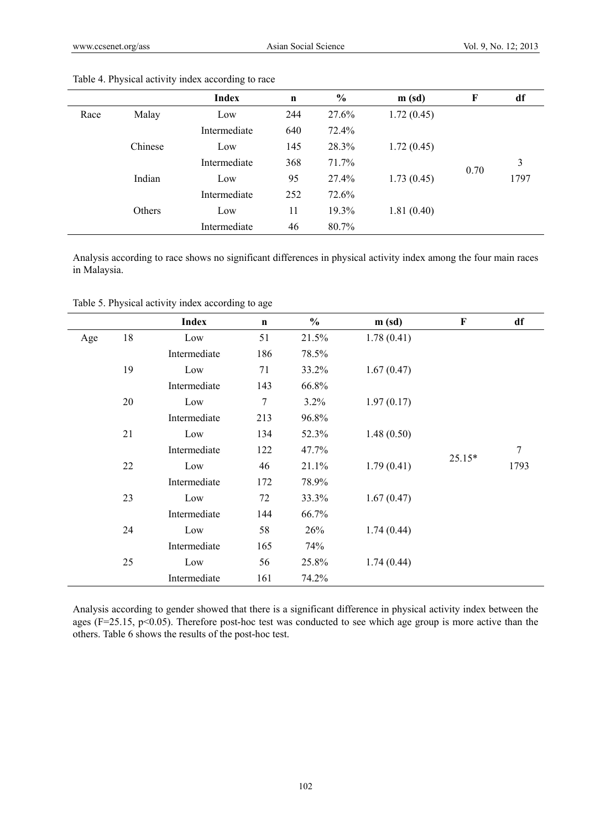|      |         | Index        | $\mathbf n$ | $\frac{0}{0}$ | $m$ (sd)   | F    | df   |
|------|---------|--------------|-------------|---------------|------------|------|------|
| Race | Malay   | Low          | 244         | 27.6%         | 1.72(0.45) |      |      |
|      |         | Intermediate | 640         | 72.4%         |            |      |      |
|      | Chinese | Low          | 145         | 28.3%         | 1.72(0.45) |      |      |
|      |         | Intermediate | 368         | 71.7%         |            |      | 3    |
|      | Indian  | Low          | 95          | 27.4%         | 1.73(0.45) | 0.70 | 1797 |
|      |         | Intermediate | 252         | 72.6%         |            |      |      |
|      | Others  | Low          | 11          | 19.3%         | 1.81(0.40) |      |      |
|      |         | Intermediate | 46          | 80.7%         |            |      |      |

Table 4. Physical activity index according to race

Analysis according to race shows no significant differences in physical activity index among the four main races in Malaysia.

|     |    | Index        | $\mathbf n$ | $\frac{0}{0}$ | $m$ (sd)   | F        | df   |
|-----|----|--------------|-------------|---------------|------------|----------|------|
| Age | 18 | Low          | 51          | 21.5%         | 1.78(0.41) |          |      |
|     |    | Intermediate | 186         | 78.5%         |            |          |      |
|     | 19 | Low          | 71          | 33.2%         | 1.67(0.47) |          |      |
|     |    | Intermediate | 143         | 66.8%         |            |          |      |
|     | 20 | Low          | 7           | 3.2%          | 1.97(0.17) |          |      |
|     |    | Intermediate | 213         | 96.8%         |            |          |      |
|     | 21 | Low          | 134         | 52.3%         | 1.48(0.50) |          |      |
|     |    | Intermediate | 122         | 47.7%         |            |          | 7    |
|     | 22 | Low          | 46          | 21.1%         | 1.79(0.41) | $25.15*$ | 1793 |
|     |    | Intermediate | 172         | 78.9%         |            |          |      |
|     | 23 | Low          | 72          | 33.3%         | 1.67(0.47) |          |      |
|     |    | Intermediate | 144         | 66.7%         |            |          |      |
|     | 24 | Low          | 58          | 26%           | 1.74(0.44) |          |      |
|     |    | Intermediate | 165         | 74%           |            |          |      |
|     | 25 | Low          | 56          | 25.8%         | 1.74(0.44) |          |      |
|     |    | Intermediate | 161         | 74.2%         |            |          |      |

Table 5. Physical activity index according to age

Analysis according to gender showed that there is a significant difference in physical activity index between the ages (F=25.15, p<0.05). Therefore post-hoc test was conducted to see which age group is more active than the others. Table 6 shows the results of the post-hoc test.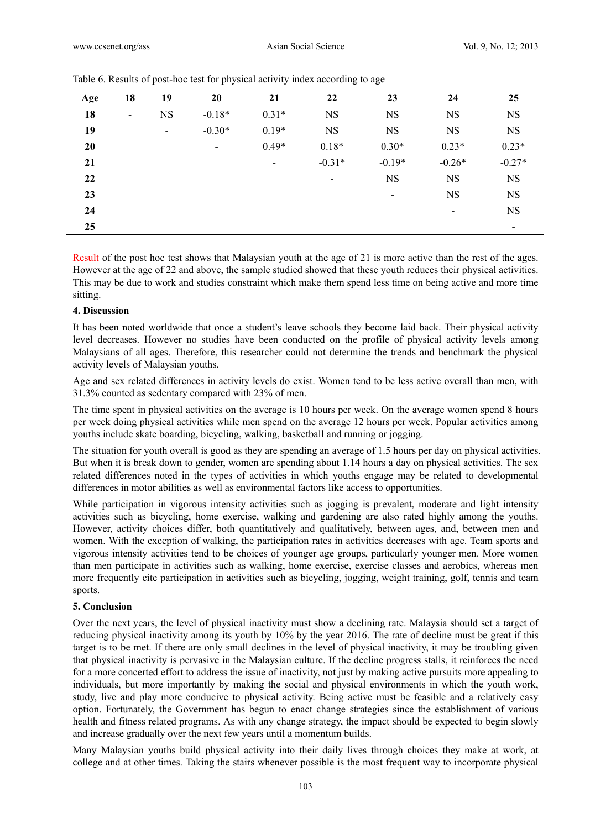| Age | 18 | 19        | 20                       | 21                       | 22                       | 23                       | 24                       | 25        |
|-----|----|-----------|--------------------------|--------------------------|--------------------------|--------------------------|--------------------------|-----------|
| 18  | -  | <b>NS</b> | $-0.18*$                 | $0.31*$                  | <b>NS</b>                | <b>NS</b>                | <b>NS</b>                | <b>NS</b> |
| 19  |    | -         | $-0.30*$                 | $0.19*$                  | <b>NS</b>                | <b>NS</b>                | <b>NS</b>                | <b>NS</b> |
| 20  |    |           | $\overline{\phantom{a}}$ | $0.49*$                  | $0.18*$                  | $0.30*$                  | $0.23*$                  | $0.23*$   |
| 21  |    |           |                          | $\overline{\phantom{a}}$ | $-0.31*$                 | $-0.19*$                 | $-0.26*$                 | $-0.27*$  |
| 22  |    |           |                          |                          | $\overline{\phantom{a}}$ | <b>NS</b>                | <b>NS</b>                | <b>NS</b> |
| 23  |    |           |                          |                          |                          | $\overline{\phantom{a}}$ | <b>NS</b>                | <b>NS</b> |
| 24  |    |           |                          |                          |                          |                          | $\overline{\phantom{a}}$ | <b>NS</b> |
| 25  |    |           |                          |                          |                          |                          |                          |           |

Table 6. Results of post-hoc test for physical activity index according to age

Result of the post hoc test shows that Malaysian youth at the age of 21 is more active than the rest of the ages. However at the age of 22 and above, the sample studied showed that these youth reduces their physical activities. This may be due to work and studies constraint which make them spend less time on being active and more time sitting.

#### **4. Discussion**

It has been noted worldwide that once a student's leave schools they become laid back. Their physical activity level decreases. However no studies have been conducted on the profile of physical activity levels among Malaysians of all ages. Therefore, this researcher could not determine the trends and benchmark the physical activity levels of Malaysian youths.

Age and sex related differences in activity levels do exist. Women tend to be less active overall than men, with 31.3% counted as sedentary compared with 23% of men.

The time spent in physical activities on the average is 10 hours per week. On the average women spend 8 hours per week doing physical activities while men spend on the average 12 hours per week. Popular activities among youths include skate boarding, bicycling, walking, basketball and running or jogging.

The situation for youth overall is good as they are spending an average of 1.5 hours per day on physical activities. But when it is break down to gender, women are spending about 1.14 hours a day on physical activities. The sex related differences noted in the types of activities in which youths engage may be related to developmental differences in motor abilities as well as environmental factors like access to opportunities.

While participation in vigorous intensity activities such as jogging is prevalent, moderate and light intensity activities such as bicycling, home exercise, walking and gardening are also rated highly among the youths. However, activity choices differ, both quantitatively and qualitatively, between ages, and, between men and women. With the exception of walking, the participation rates in activities decreases with age. Team sports and vigorous intensity activities tend to be choices of younger age groups, particularly younger men. More women than men participate in activities such as walking, home exercise, exercise classes and aerobics, whereas men more frequently cite participation in activities such as bicycling, jogging, weight training, golf, tennis and team sports.

#### **5. Conclusion**

Over the next years, the level of physical inactivity must show a declining rate. Malaysia should set a target of reducing physical inactivity among its youth by 10% by the year 2016. The rate of decline must be great if this target is to be met. If there are only small declines in the level of physical inactivity, it may be troubling given that physical inactivity is pervasive in the Malaysian culture. If the decline progress stalls, it reinforces the need for a more concerted effort to address the issue of inactivity, not just by making active pursuits more appealing to individuals, but more importantly by making the social and physical environments in which the youth work, study, live and play more conducive to physical activity. Being active must be feasible and a relatively easy option. Fortunately, the Government has begun to enact change strategies since the establishment of various health and fitness related programs. As with any change strategy, the impact should be expected to begin slowly and increase gradually over the next few years until a momentum builds.

Many Malaysian youths build physical activity into their daily lives through choices they make at work, at college and at other times. Taking the stairs whenever possible is the most frequent way to incorporate physical